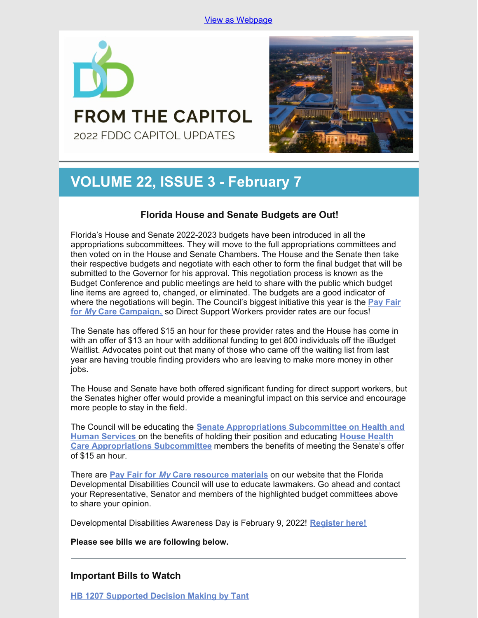

## **FROM THE CAPITOL** 2022 FDDC CAPITOL UPDATES



# **VOLUME 22, ISSUE 3 - February 7**

## **Florida House and Senate Budgets are Out!**

Florida's House and Senate 2022-2023 budgets have been introduced in all the appropriations subcommittees. They will move to the full appropriations committees and then voted on in the House and Senate Chambers. The House and the Senate then take their respective budgets and negotiate with each other to form the final budget that will be submitted to the Governor for his approval. This negotiation process is known as the Budget Conference and public meetings are held to share with the public which budget line items are agreed to, changed, or eliminated. The budgets are a good indicator of where the [negotiations](https://www.fddc.org/pay-fair-for-my-care/) will begin. The Council's biggest initiative this year is the **Pay Fair for** *[My](https://www.fddc.org/pay-fair-for-my-care/)* **Care [Campaign,](https://www.fddc.org/pay-fair-for-my-care/)** so Direct Support Workers provider rates are our focus!

The Senate has offered \$15 an hour for these provider rates and the House has come in with an offer of \$13 an hour with additional funding to get 800 individuals off the iBudget Waitlist. Advocates point out that many of those who came off the waiting list from last year are having trouble finding providers who are leaving to make more money in other jobs.

The House and Senate have both offered significant funding for direct support workers, but the Senates higher offer would provide a meaningful impact on this service and encourage more people to stay in the field.

The Council will be educating the **Senate [Appropriations](https://www.flsenate.gov/Committees/Show/AHS/) Subcommittee on Health and Human Services** on the benefits of holding their position and educating **House Health Care [Appropriations](https://www.myfloridahouse.gov/Sections/Committees/committeesdetail.aspx?CommitteeId=3088) Subcommittee** members the benefits of meeting the Senate's offer of \$15 an hour.

There are **Pay [Fair](https://www.fddc.org/pay-fair-for-my-care/) for** *[My](https://www.fddc.org/pay-fair-for-my-care/)* **Care resource [materials](https://www.fddc.org/pay-fair-for-my-care/)** on our website that the Florida Developmental Disabilities Council will use to educate lawmakers. Go ahead and contact your Representative, Senator and members of the highlighted budget committees above to share your opinion.

Developmental Disabilities Awareness Day is February 9, 2022! **[Register](https://ddday2022.org/) here!**

**Please see bills we are following below.**

## **Important Bills to Watch**

**HB 1207 [Supported](https://www.myfloridahouse.gov/Sections/Bills/billsdetail.aspx?BillId=76061) Decision Making by Tant**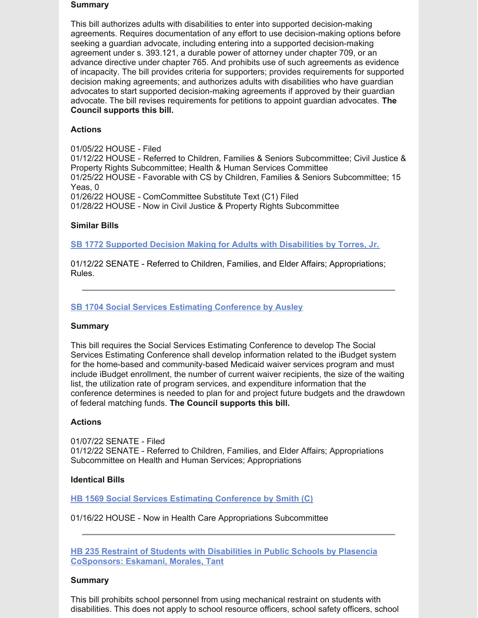#### **Summary**

This bill authorizes adults with disabilities to enter into supported decision-making agreements. Requires documentation of any effort to use decision-making options before seeking a guardian advocate, including entering into a supported decision-making agreement under s. 393.121, a durable power of attorney under chapter 709, or an advance directive under chapter 765. And prohibits use of such agreements as evidence of incapacity. The bill provides criteria for supporters; provides requirements for supported decision making agreements; and authorizes adults with disabilities who have guardian advocates to start supported decision-making agreements if approved by their guardian advocate. The bill revises requirements for petitions to appoint guardian advocates. **The Council supports this bill.**

## **Actions**

01/05/22 HOUSE - Filed 01/12/22 HOUSE - Referred to Children, Families & Seniors Subcommittee; Civil Justice & Property Rights Subcommittee; Health & Human Services Committee 01/25/22 HOUSE - Favorable with CS by Children, Families & Seniors Subcommittee; 15 Yeas, 0 01/26/22 HOUSE - ComCommittee Substitute Text (C1) Filed 01/28/22 HOUSE - Now in Civil Justice & Property Rights Subcommittee

## **Similar Bills**

**SB 1772 Supported Decision Making for Adults with [Disabilities](https://www.myfloridahouse.gov/Sections/Bills/billsdetail.aspx?BillId=76242&) by Torres, Jr.**

01/12/22 SENATE - Referred to Children, Families, and Elder Affairs; Appropriations; Rules.

## **SB 1704 Social Services Estimating [Conference](https://www.myfloridahouse.gov/Sections/Bills/billsdetail.aspx?BillId=76170) by Ausley**

#### **Summary**

This bill requires the Social Services Estimating Conference to develop The Social Services Estimating Conference shall develop information related to the iBudget system for the home-based and community-based Medicaid waiver services program and must include iBudget enrollment, the number of current waiver recipients, the size of the waiting list, the utilization rate of program services, and expenditure information that the conference determines is needed to plan for and project future budgets and the drawdown of federal matching funds. **The Council supports this bill.**

#### **Actions**

01/07/22 SENATE - Filed 01/12/22 SENATE - Referred to Children, Families, and Elder Affairs; Appropriations Subcommittee on Health and Human Services; Appropriations

#### **Identical Bills**

**HB 1569 Social Services Estimating [Conference](https://www.myfloridahouse.gov/Sections/Bills/billsdetail.aspx?BillId=76559&) by Smith (C)**

#### 01/16/22 HOUSE - Now in Health Care Appropriations Subcommittee

**HB 235 Restraint of Students with Disabilities in Public Schools by Plasencia [CoSponsors:](https://www.myfloridahouse.gov/Sections/Bills/billsdetail.aspx?BillId=73355) Eskamani, Morales, Tant**

#### **Summary**

This bill prohibits school personnel from using mechanical restraint on students with disabilities. This does not apply to school resource officers, school safety officers, school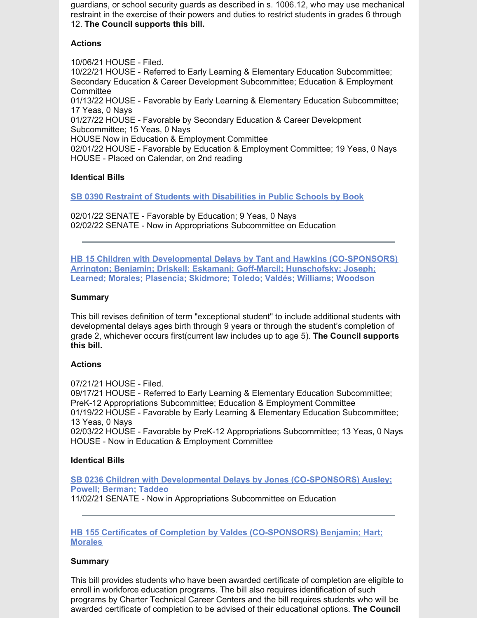guardians, or school security guards as described in s. 1006.12, who may use mechanical restraint in the exercise of their powers and duties to restrict students in grades 6 through 12. **The Council supports this bill.**

## **Actions**

10/06/21 HOUSE - Filed. 10/22/21 HOUSE - Referred to Early Learning & Elementary Education Subcommittee; Secondary Education & Career Development Subcommittee; Education & Employment **Committee** 01/13/22 HOUSE - Favorable by Early Learning & Elementary Education Subcommittee; 17 Yeas, 0 Nays 01/27/22 HOUSE - Favorable by Secondary Education & Career Development Subcommittee; 15 Yeas, 0 Nays HOUSE Now in Education & Employment Committee 02/01/22 HOUSE - Favorable by Education & Employment Committee; 19 Yeas, 0 Nays HOUSE - Placed on Calendar, on 2nd reading

## **Identical Bills**

**SB 0390 Restraint of Students with [Disabilities](https://www.myfloridahouse.gov/Sections/Bills/billsdetail.aspx?BillId=73330&) in Public Schools by Book**

02/01/22 SENATE - Favorable by Education; 9 Yeas, 0 Nays 02/02/22 SENATE - Now in Appropriations Subcommittee on Education

**HB 15 Children with Developmental Delays by Tant and Hawkins [\(CO-SPONSORS\)](https://www.myfloridahouse.gov/Sections/Bills/billsdetail.aspx?BillId=73025) Arrington; Benjamin; Driskell; Eskamani; Goff-Marcil; Hunschofsky; Joseph; Learned; Morales; Plasencia; Skidmore; Toledo; Valdés; Williams; Woodson**

## **Summary**

This bill revises definition of term "exceptional student" to include additional students with developmental delays ages birth through 9 years or through the student's completion of grade 2, whichever occurs first(current law includes up to age 5). **The Council supports this bill.**

## **Actions**

07/21/21 HOUSE - Filed. 09/17/21 HOUSE - Referred to Early Learning & Elementary Education Subcommittee; PreK-12 Appropriations Subcommittee; Education & Employment Committee 01/19/22 HOUSE - Favorable by Early Learning & Elementary Education Subcommittee; 13 Yeas, 0 Nays 02/03/22 HOUSE - Favorable by PreK-12 Appropriations Subcommittee; 13 Yeas, 0 Nays HOUSE - Now in Education & Employment Committee

## **Identical Bills**

**SB 0236 Children with Developmental Delays by Jones [\(CO-SPONSORS\)](https://www.myfloridahouse.gov/Sections/Bills/billsdetail.aspx?BillId=73164&) Ausley; Powell; Berman; Taddeo** 11/02/21 SENATE - Now in Appropriations Subcommittee on Education

## **HB 155 Certificates of Completion by Valdes [\(CO-SPONSORS\)](https://www.myfloridahouse.gov/Sections/Bills/billsdetail.aspx?BillId=73206) Benjamin; Hart; Morales**

## **Summary**

This bill provides students who have been awarded certificate of completion are eligible to enroll in workforce education programs. The bill also requires identification of such programs by Charter Technical Career Centers and the bill requires students who will be awarded certificate of completion to be advised of their educational options. **The Council**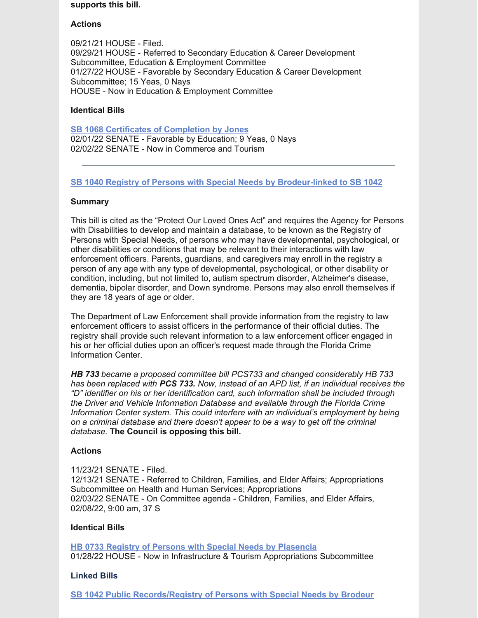#### **supports this bill.**

## **Actions**

09/21/21 HOUSE - Filed. 09/29/21 HOUSE - Referred to Secondary Education & Career Development Subcommittee, Education & Employment Committee 01/27/22 HOUSE - Favorable by Secondary Education & Career Development Subcommittee; 15 Yeas, 0 Nays HOUSE - Now in Education & Employment Committee

## **Identical Bills**

**SB 1068 Certificates of [Completion](https://www.myfloridahouse.gov/Sections/Bills/billsdetail.aspx?BillId=75103&) by Jones** 02/01/22 SENATE - Favorable by Education; 9 Yeas, 0 Nays 02/02/22 SENATE - Now in Commerce and Tourism

## **SB 1040 Registry of Persons with Special Needs by [Brodeur-linked](https://www.myfloridahouse.gov/Sections/Bills/billsdetail.aspx?BillId=74991) to SB 1042**

## **Summary**

This bill is cited as the "Protect Our Loved Ones Act" and requires the Agency for Persons with Disabilities to develop and maintain a database, to be known as the Registry of Persons with Special Needs, of persons who may have developmental, psychological, or other disabilities or conditions that may be relevant to their interactions with law enforcement officers. Parents, guardians, and caregivers may enroll in the registry a person of any age with any type of developmental, psychological, or other disability or condition, including, but not limited to, autism spectrum disorder, Alzheimer's disease, dementia, bipolar disorder, and Down syndrome. Persons may also enroll themselves if they are 18 years of age or older.

The Department of Law Enforcement shall provide information from the registry to law enforcement officers to assist officers in the performance of their official duties. The registry shall provide such relevant information to a law enforcement officer engaged in his or her official duties upon an officer's request made through the Florida Crime Information Center.

*HB 733 became a proposed committee bill PCS733 and changed considerably HB 733 has been replaced with PCS 733. Now, instead of an APD list, if an individual receives the "D" identifier on his or her identification card, such information shall be included through the Driver and Vehicle Information Database and available through the Florida Crime Information Center system. This could interfere with an individual's employment by being on a criminal database and there doesn't appear to be a way to get off the criminal database.* **The Council is opposing this bill.**

## **Actions**

11/23/21 SENATE - Filed. 12/13/21 SENATE - Referred to Children, Families, and Elder Affairs; Appropriations Subcommittee on Health and Human Services; Appropriations 02/03/22 SENATE - On Committee agenda - Children, Families, and Elder Affairs, 02/08/22, 9:00 am, 37 S

## **Identical Bills**

**HB 0733 Registry of Persons with Special Needs by [Plasencia](https://www.myfloridahouse.gov/Sections/Bills/billsdetail.aspx?BillId=75034&)** 01/28/22 HOUSE - Now in Infrastructure & Tourism Appropriations Subcommittee

## **Linked Bills**

**SB 1042 Public [Records/Registry](https://www.myfloridahouse.gov/Sections/Bills/billsdetail.aspx?BillId=74990&) of Persons with Special Needs by Brodeur**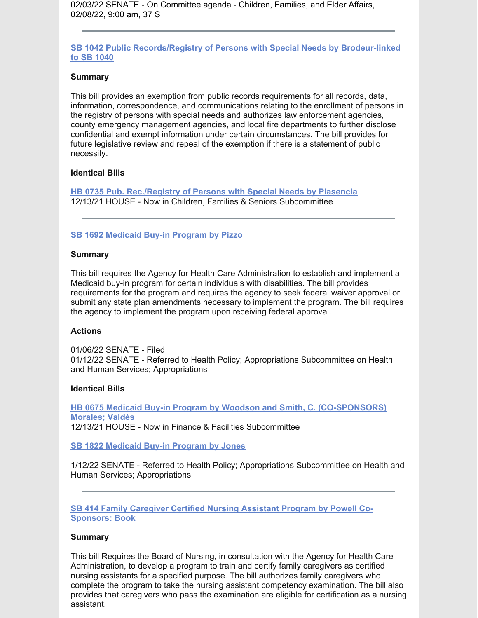02/03/22 SENATE - On Committee agenda - Children, Families, and Elder Affairs, 02/08/22, 9:00 am, 37 S

**SB 1042 Public [Records/Registry](https://www.myfloridahouse.gov/Sections/Bills/billsdetail.aspx?BillId=74990&) of Persons with Special Needs by Brodeur-linked to SB 1040**

#### **Summary**

This bill provides an exemption from public records requirements for all records, data, information, correspondence, and communications relating to the enrollment of persons in the registry of persons with special needs and authorizes law enforcement agencies, county emergency management agencies, and local fire departments to further disclose confidential and exempt information under certain circumstances. The bill provides for future legislative review and repeal of the exemption if there is a statement of public necessity.

## **Identical Bills**

**HB 0735 Pub. [Rec./Registry](https://www.myfloridahouse.gov/Sections/Bills/billsdetail.aspx?BillId=75035&) of Persons with Special Needs by Plasencia** 12/13/21 HOUSE - Now in Children, Families & Seniors Subcommittee

#### **SB 1692 [Medicaid](https://www.myfloridahouse.gov/Sections/Bills/billsdetail.aspx?BillId=76163) Buy-in Program by Pizzo**

#### **Summary**

This bill requires the Agency for Health Care Administration to establish and implement a Medicaid buy-in program for certain individuals with disabilities. The bill provides requirements for the program and requires the agency to seek federal waiver approval or submit any state plan amendments necessary to implement the program. The bill requires the agency to implement the program upon receiving federal approval.

#### **Actions**

01/06/22 SENATE - Filed 01/12/22 SENATE - Referred to Health Policy; Appropriations Subcommittee on Health and Human Services; Appropriations

#### **Identical Bills**

**HB 0675 Medicaid Buy-in Program by Woodson and Smith, C. [\(CO-SPONSORS\)](https://www.myfloridahouse.gov/Sections/Bills/billsdetail.aspx?BillId=74798&) Morales; Valdés** 12/13/21 HOUSE - Now in Finance & Facilities Subcommittee

**SB 1822 [Medicaid](https://www.myfloridahouse.gov/Sections/Bills/billsdetail.aspx?BillId=76281&) Buy-in Program by Jones**

1/12/22 SENATE - Referred to Health Policy; Appropriations Subcommittee on Health and Human Services; Appropriations

**SB 414 Family Caregiver Certified Nursing Assistant Program by Powell Co-[Sponsors:](https://www.myfloridahouse.gov/Sections/Bills/billsdetail.aspx?BillId=73361&) Book**

#### **Summary**

This bill Requires the Board of Nursing, in consultation with the Agency for Health Care Administration, to develop a program to train and certify family caregivers as certified nursing assistants for a specified purpose. The bill authorizes family caregivers who complete the program to take the nursing assistant competency examination. The bill also provides that caregivers who pass the examination are eligible for certification as a nursing assistant.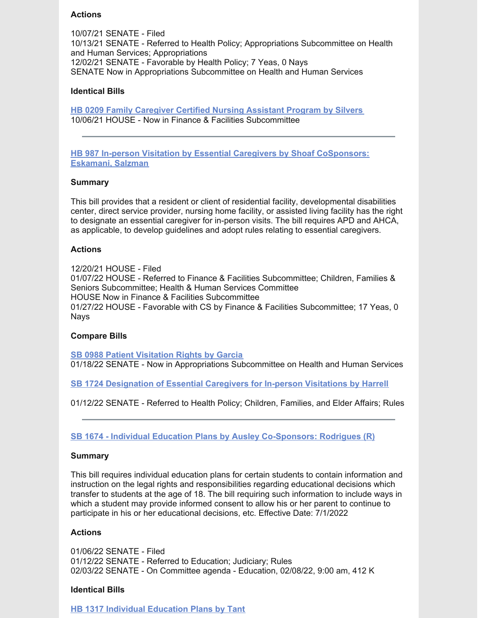## **Actions**

10/07/21 SENATE - Filed 10/13/21 SENATE - Referred to Health Policy; Appropriations Subcommittee on Health and Human Services; Appropriations 12/02/21 SENATE - Favorable by Health Policy; 7 Yeas, 0 Nays SENATE Now in Appropriations Subcommittee on Health and Human Services

## **Identical Bills**

**HB 0209 Family [Caregiver](https://www.myfloridahouse.gov/Sections/Bills/billsdetail.aspx?BillId=73306) Certified Nursing Assistant Program by Silvers** 10/06/21 HOUSE - Now in Finance & Facilities Subcommittee

**HB 987 In-person Visitation by Essential Caregivers by Shoaf [CoSponsors:](https://www.myfloridahouse.gov/Sections/Bills/billsdetail.aspx?BillId=75784) Eskamani, Salzman**

## **Summary**

This bill provides that a resident or client of residential facility, developmental disabilities center, direct service provider, nursing home facility, or assisted living facility has the right to designate an essential caregiver for in-person visits. The bill requires APD and AHCA, as applicable, to develop guidelines and adopt rules relating to essential caregivers.

## **Actions**

12/20/21 HOUSE - Filed 01/07/22 HOUSE - Referred to Finance & Facilities Subcommittee; Children, Families & Seniors Subcommittee; Health & Human Services Committee HOUSE Now in Finance & Facilities Subcommittee 01/27/22 HOUSE - Favorable with CS by Finance & Facilities Subcommittee; 17 Yeas, 0 Nays

#### **Compare Bills**

**SB 0988 Patient [Visitation](https://www.myfloridahouse.gov/Sections/Bills/billsdetail.aspx?BillId=74715&) Rights by Garcia** 01/18/22 SENATE - Now in Appropriations Subcommittee on Health and Human Services

**SB 1724 [Designation](https://www.myfloridahouse.gov/Sections/Bills/billsdetail.aspx?BillId=76190&) of Essential Caregivers for In-person Visitations by Harrell**

01/12/22 SENATE - Referred to Health Policy; Children, Families, and Elder Affairs; Rules

**SB 1674 - Individual Education Plans by Ausley [Co-Sponsors:](https://www.flsenate.gov/Session/Bill/2022/1674) Rodrigues (R)**

#### **Summary**

This bill requires individual education plans for certain students to contain information and instruction on the legal rights and responsibilities regarding educational decisions which transfer to students at the age of 18. The bill requiring such information to include ways in which a student may provide informed consent to allow his or her parent to continue to participate in his or her educational decisions, etc. Effective Date: 7/1/2022

### **Actions**

01/06/22 SENATE - Filed 01/12/22 SENATE - Referred to Education; Judiciary; Rules 02/03/22 SENATE - On Committee agenda - Education, 02/08/22, 9:00 am, 412 K

#### **Identical Bills**

**HB 1317 Individual [Education](https://www.flsenate.gov/Session/Bill/2022/1317) Plans by Tant**